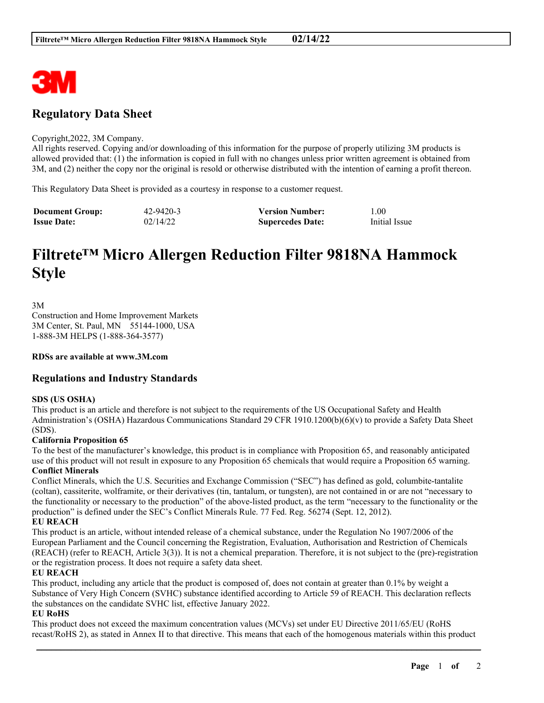

# **Regulatory Data Sheet**

### Copyright,2022, 3M Company.

All rights reserved. Copying and/or downloading of this information for the purpose of properly utilizing 3M products is allowed provided that: (1) the information is copied in full with no changes unless prior written agreement is obtained from 3M, and (2) neither the copy nor the original is resold or otherwise distributed with the intention of earning a profit thereon.

This Regulatory Data Sheet is provided as a courtesy in response to a customer request.

| <b>Document Group:</b> | 42-9420-3 | <b>Version Number:</b>  | 1.00          |
|------------------------|-----------|-------------------------|---------------|
| <b>Issue Date:</b>     | 02/14/22  | <b>Supercedes Date:</b> | Initial Issue |

# **Filtrete™ Micro Allergen Reduction Filter 9818NA Hammock Style**

3M Construction and Home Improvement Markets 3M Center, St. Paul, MN 55144-1000, USA 1-888-3M HELPS (1-888-364-3577)

**RDSs are available at www.3M.com**

# **Regulations and Industry Standards**

# **SDS (US OSHA)**

This product is an article and therefore is not subject to the requirements of the US Occupational Safety and Health Administration's (OSHA) Hazardous Communications Standard 29 CFR 1910.1200(b)(6)(v) to provide a Safety Data Sheet (SDS).

# **California Proposition 65**

To the best of the manufacturer's knowledge, this product is in compliance with Proposition 65, and reasonably anticipated use of this product will not result in exposure to any Proposition 65 chemicals that would require a Proposition 65 warning. **Conflict Minerals**

Conflict Minerals, which the U.S. Securities and Exchange Commission ("SEC") has defined as gold, columbite-tantalite (coltan), cassiterite, wolframite, or their derivatives (tin, tantalum, or tungsten), are not contained in or are not "necessary to the functionality or necessary to the production" of the above-listed product, as the term "necessary to the functionality or the production" is defined under the SEC's Conflict Minerals Rule. 77 Fed. Reg. 56274 (Sept. 12, 2012).

# **EU REACH**

This product is an article, without intended release of a chemical substance, under the Regulation No 1907/2006 of the European Parliament and the Council concerning the Registration, Evaluation, Authorisation and Restriction of Chemicals (REACH) (refer to REACH, Article 3(3)). It is not a chemical preparation. Therefore, it is not subject to the (pre)-registration or the registration process. It does not require a safety data sheet.

# **EU REACH**

This product, including any article that the product is composed of, does not contain at greater than 0.1% by weight a Substance of Very High Concern (SVHC) substance identified according to Article 59 of REACH. This declaration reflects the substances on the candidate SVHC list, effective January 2022.

# **EU RoHS**

This product does not exceed the maximum concentration values (MCVs) set under EU Directive 2011/65/EU (RoHS recast/RoHS 2), as stated in Annex II to that directive. This means that each of the homogenous materials within this product

\_\_\_\_\_\_\_\_\_\_\_\_\_\_\_\_\_\_\_\_\_\_\_\_\_\_\_\_\_\_\_\_\_\_\_\_\_\_\_\_\_\_\_\_\_\_\_\_\_\_\_\_\_\_\_\_\_\_\_\_\_\_\_\_\_\_\_\_\_\_\_\_\_\_\_\_\_\_\_\_\_\_\_\_\_\_\_\_\_\_